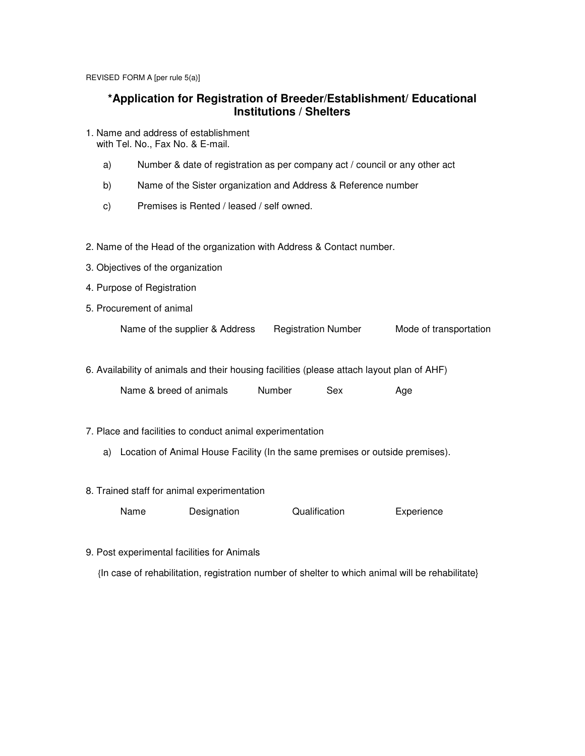REVISED FORM A [per rule 5(a)]

## **\*Application for Registration of Breeder/Establishment/ Educational Institutions / Shelters**

- 1. Name and address of establishment with Tel. No., Fax No. & E-mail.
	- a) Number & date of registration as per company act / council or any other act
	- b) Name of the Sister organization and Address & Reference number
	- c) Premises is Rented / leased / self owned.
- 2. Name of the Head of the organization with Address & Contact number.
- 3. Objectives of the organization
- 4. Purpose of Registration
- 5. Procurement of animal

Name of the supplier & Address Registration Number Mode of transportation

6. Availability of animals and their housing facilities (please attach layout plan of AHF)

| Name & breed of animals | Number | Sex | Age |
|-------------------------|--------|-----|-----|
|-------------------------|--------|-----|-----|

- 7. Place and facilities to conduct animal experimentation
	- a) Location of Animal House Facility (In the same premises or outside premises).
- 8. Trained staff for animal experimentation

| Name | Designation | Qualification | Experience |
|------|-------------|---------------|------------|
|------|-------------|---------------|------------|

9. Post experimental facilities for Animals

{In case of rehabilitation, registration number of shelter to which animal will be rehabilitate}